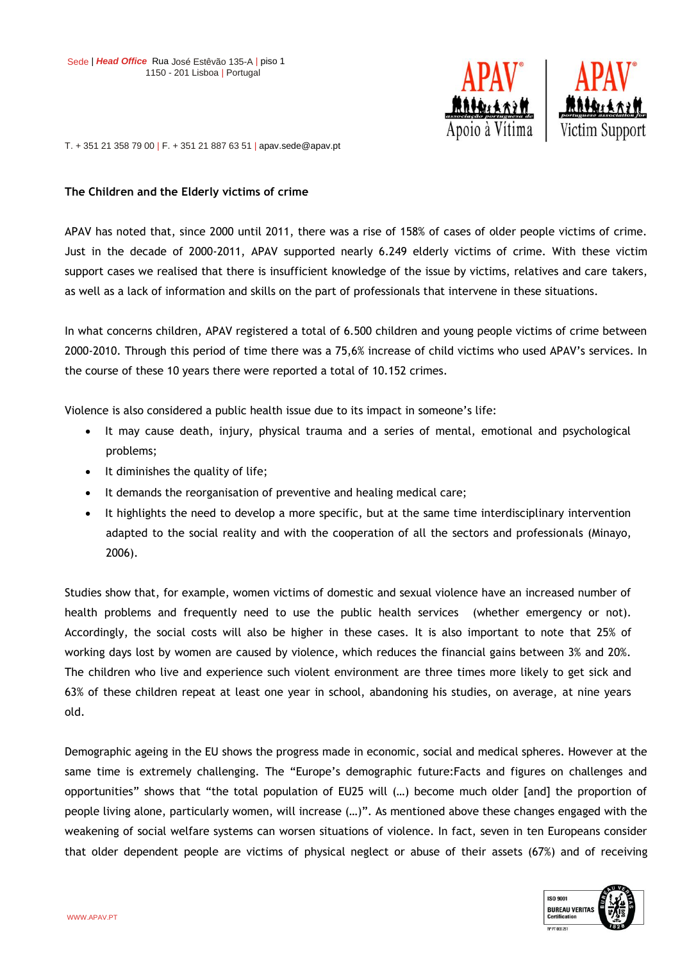

T. + 351 21 358 79 00 | F. + 351 21 887 63 51 | apav.sede@apav.pt

## **The Children and the Elderly victims of crime**

APAV has noted that, since 2000 until 2011, there was a rise of 158% of cases of older people victims of crime. Just in the decade of 2000-2011, APAV supported nearly 6.249 elderly victims of crime. With these victim support cases we realised that there is insufficient knowledge of the issue by victims, relatives and care takers, as well as a lack of information and skills on the part of professionals that intervene in these situations.

In what concerns children, APAV registered a total of 6.500 children and young people victims of crime between 2000-2010. Through this period of time there was a 75,6% increase of child victims who used APAV's services. In the course of these 10 years there were reported a total of 10.152 crimes.

Violence is also considered a public health issue due to its impact in someone's life:

- It may cause death, injury, physical trauma and a series of mental, emotional and psychological problems;
- $\bullet$  It diminishes the quality of life;
- It demands the reorganisation of preventive and healing medical care;
- It highlights the need to develop a more specific, but at the same time interdisciplinary intervention adapted to the social reality and with the cooperation of all the sectors and professionals (Minayo, 2006).

Studies show that, for example, women victims of domestic and sexual violence have an increased number of health problems and frequently need to use the public health services (whether emergency or not). Accordingly, the social costs will also be higher in these cases. It is also important to note that 25% of working days lost by women are caused by violence, which reduces the financial gains between 3% and 20%. The children who live and experience such violent environment are three times more likely to get sick and 63% of these children repeat at least one year in school, abandoning his studies, on average, at nine years old.

Demographic ageing in the EU shows the progress made in economic, social and medical spheres. However at the same time is extremely challenging. The "Europe's demographic future:Facts and figures on challenges and opportunities" shows that "the total population of EU25 will (…) become much older [and] the proportion of people living alone, particularly women, will increase (…)". As mentioned above these changes engaged with the weakening of social welfare systems can worsen situations of violence. In fact, seven in ten Europeans consider that older dependent people are victims of physical neglect or abuse of their assets (67%) and of receiving

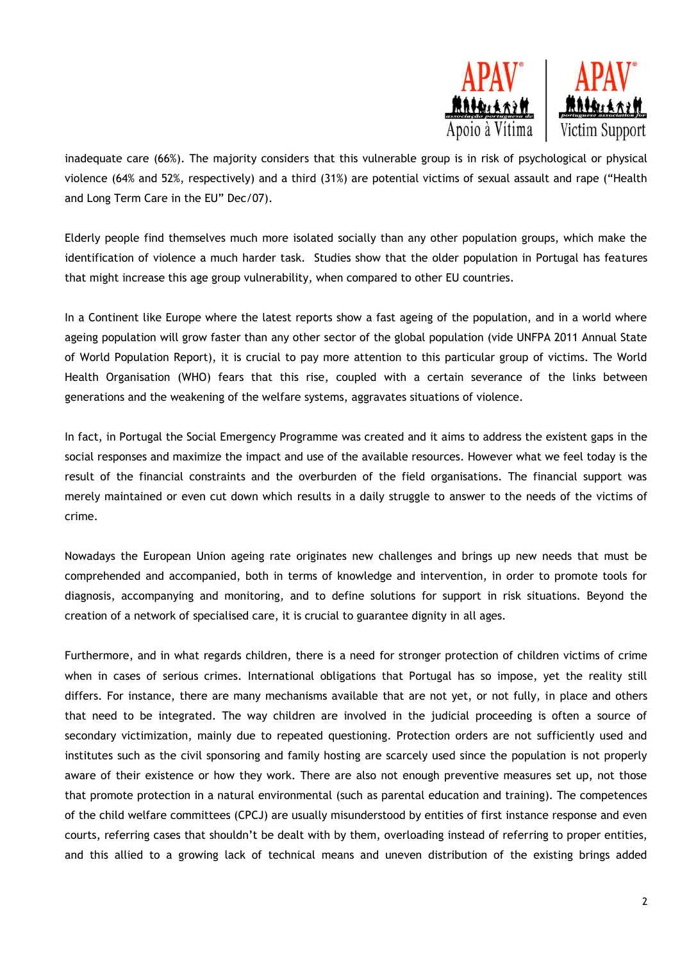

inadequate care (66%). The majority considers that this vulnerable group is in risk of psychological or physical violence (64% and 52%, respectively) and a third (31%) are potential victims of sexual assault and rape ("Health and Long Term Care in the EU" Dec/07).

Elderly people find themselves much more isolated socially than any other population groups, which make the identification of violence a much harder task. Studies show that the older population in Portugal has features that might increase this age group vulnerability, when compared to other EU countries.

In a Continent like Europe where the latest reports show a fast ageing of the population, and in a world where ageing population will grow faster than any other sector of the global population (vide UNFPA 2011 Annual State of World Population Report), it is crucial to pay more attention to this particular group of victims. The World Health Organisation (WHO) fears that this rise, coupled with a certain severance of the links between generations and the weakening of the welfare systems, aggravates situations of violence.

In fact, in Portugal the Social Emergency Programme was created and it aims to address the existent gaps in the social responses and maximize the impact and use of the available resources. However what we feel today is the result of the financial constraints and the overburden of the field organisations. The financial support was merely maintained or even cut down which results in a daily struggle to answer to the needs of the victims of crime.

Nowadays the European Union ageing rate originates new challenges and brings up new needs that must be comprehended and accompanied, both in terms of knowledge and intervention, in order to promote tools for diagnosis, accompanying and monitoring, and to define solutions for support in risk situations. Beyond the creation of a network of specialised care, it is crucial to guarantee dignity in all ages.

Furthermore, and in what regards children, there is a need for stronger protection of children victims of crime when in cases of serious crimes. International obligations that Portugal has so impose, yet the reality still differs. For instance, there are many mechanisms available that are not yet, or not fully, in place and others that need to be integrated. The way children are involved in the judicial proceeding is often a source of secondary victimization, mainly due to repeated questioning. Protection orders are not sufficiently used and institutes such as the civil sponsoring and family hosting are scarcely used since the population is not properly aware of their existence or how they work. There are also not enough preventive measures set up, not those that promote protection in a natural environmental (such as parental education and training). The competences of the child welfare committees (CPCJ) are usually misunderstood by entities of first instance response and even courts, referring cases that shouldn't be dealt with by them, overloading instead of referring to proper entities, and this allied to a growing lack of technical means and uneven distribution of the existing brings added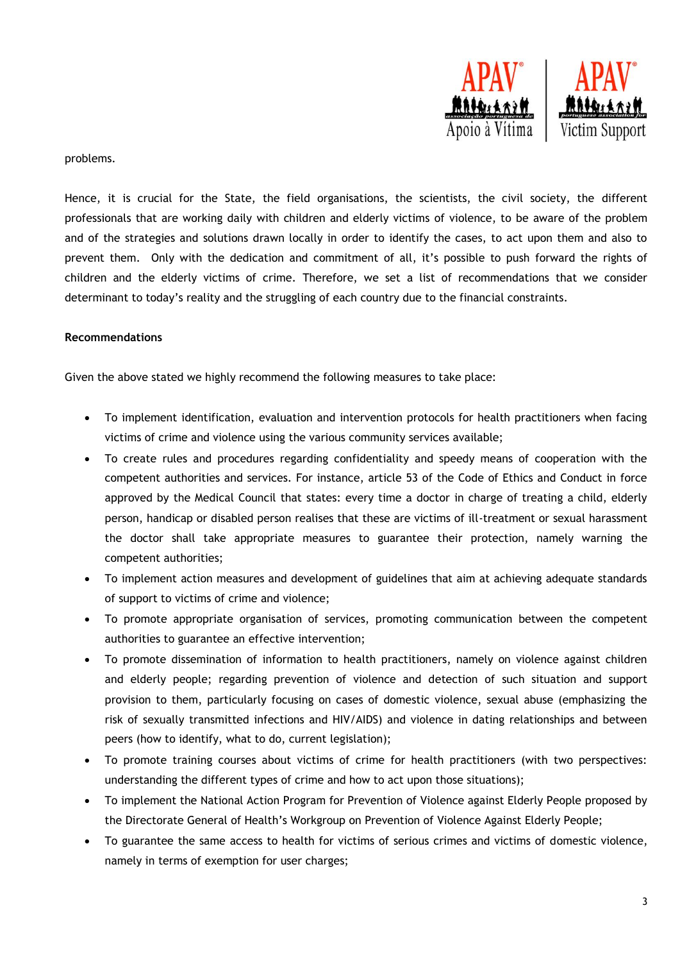

## problems.

Hence, it is crucial for the State, the field organisations, the scientists, the civil society, the different professionals that are working daily with children and elderly victims of violence, to be aware of the problem and of the strategies and solutions drawn locally in order to identify the cases, to act upon them and also to prevent them. Only with the dedication and commitment of all, it's possible to push forward the rights of children and the elderly victims of crime. Therefore, we set a list of recommendations that we consider determinant to today's reality and the struggling of each country due to the financial constraints.

## **Recommendations**

Given the above stated we highly recommend the following measures to take place:

- To implement identification, evaluation and intervention protocols for health practitioners when facing victims of crime and violence using the various community services available;
- To create rules and procedures regarding confidentiality and speedy means of cooperation with the competent authorities and services. For instance, article 53 of the Code of Ethics and Conduct in force approved by the Medical Council that states: every time a doctor in charge of treating a child, elderly person, handicap or disabled person realises that these are victims of ill-treatment or sexual harassment the doctor shall take appropriate measures to guarantee their protection, namely warning the competent authorities;
- To implement action measures and development of guidelines that aim at achieving adequate standards of support to victims of crime and violence;
- To promote appropriate organisation of services, promoting communication between the competent authorities to guarantee an effective intervention;
- To promote dissemination of information to health practitioners, namely on violence against children and elderly people; regarding prevention of violence and detection of such situation and support provision to them, particularly focusing on cases of domestic violence, sexual abuse (emphasizing the risk of sexually transmitted infections and HIV/AIDS) and violence in dating relationships and between peers (how to identify, what to do, current legislation);
- To promote training courses about victims of crime for health practitioners (with two perspectives: understanding the different types of crime and how to act upon those situations);
- To implement the National Action Program for Prevention of Violence against Elderly People proposed by the Directorate General of Health's Workgroup on Prevention of Violence Against Elderly People;
- To guarantee the same access to health for victims of serious crimes and victims of domestic violence, namely in terms of exemption for user charges;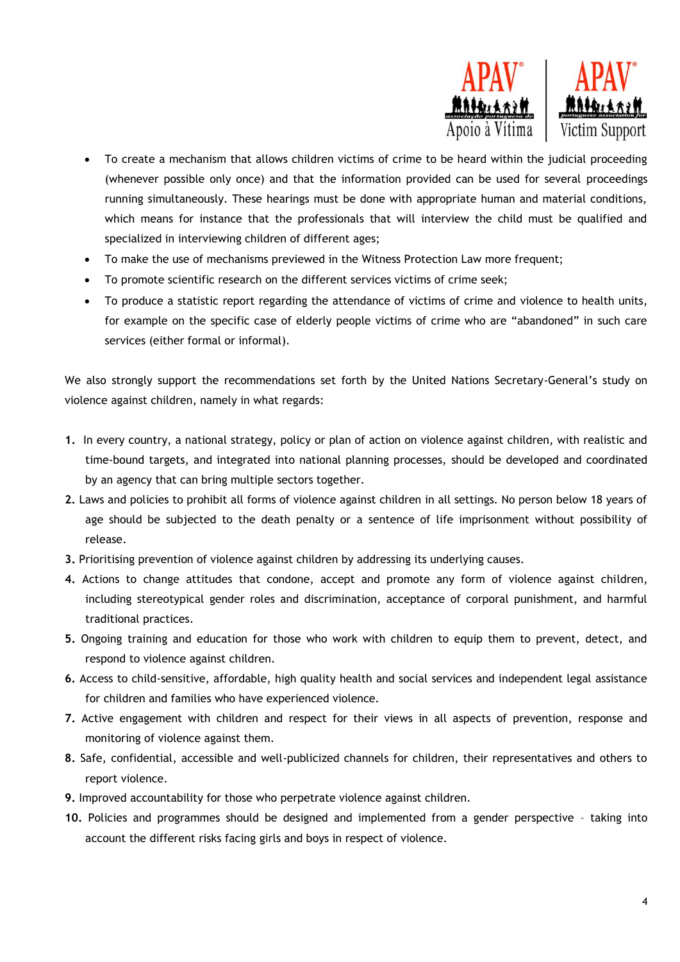

- To create a mechanism that allows children victims of crime to be heard within the judicial proceeding (whenever possible only once) and that the information provided can be used for several proceedings running simultaneously. These hearings must be done with appropriate human and material conditions, which means for instance that the professionals that will interview the child must be qualified and specialized in interviewing children of different ages;
- To make the use of mechanisms previewed in the Witness Protection Law more frequent;
- To promote scientific research on the different services victims of crime seek;
- To produce a statistic report regarding the attendance of victims of crime and violence to health units, for example on the specific case of elderly people victims of crime who are "abandoned" in such care services (either formal or informal).

We also strongly support the recommendations set forth by the United Nations Secretary-General's study on violence against children, namely in what regards:

- **1.** In every country, a national strategy, policy or plan of action on violence against children, with realistic and time-bound targets, and integrated into national planning processes, should be developed and coordinated by an agency that can bring multiple sectors together.
- **2.** Laws and policies to prohibit all forms of violence against children in all settings. No person below 18 years of age should be subjected to the death penalty or a sentence of life imprisonment without possibility of release.
- **3.** Prioritising prevention of violence against children by addressing its underlying causes.
- **4.** Actions to change attitudes that condone, accept and promote any form of violence against children, including stereotypical gender roles and discrimination, acceptance of corporal punishment, and harmful traditional practices.
- **5.** Ongoing training and education for those who work with children to equip them to prevent, detect, and respond to violence against children.
- **6.** Access to child-sensitive, affordable, high quality health and social services and independent legal assistance for children and families who have experienced violence.
- **7.** Active engagement with children and respect for their views in all aspects of prevention, response and monitoring of violence against them.
- **8.** Safe, confidential, accessible and well-publicized channels for children, their representatives and others to report violence.
- **9.** Improved accountability for those who perpetrate violence against children.
- **10.** Policies and programmes should be designed and implemented from a gender perspective taking into account the different risks facing girls and boys in respect of violence.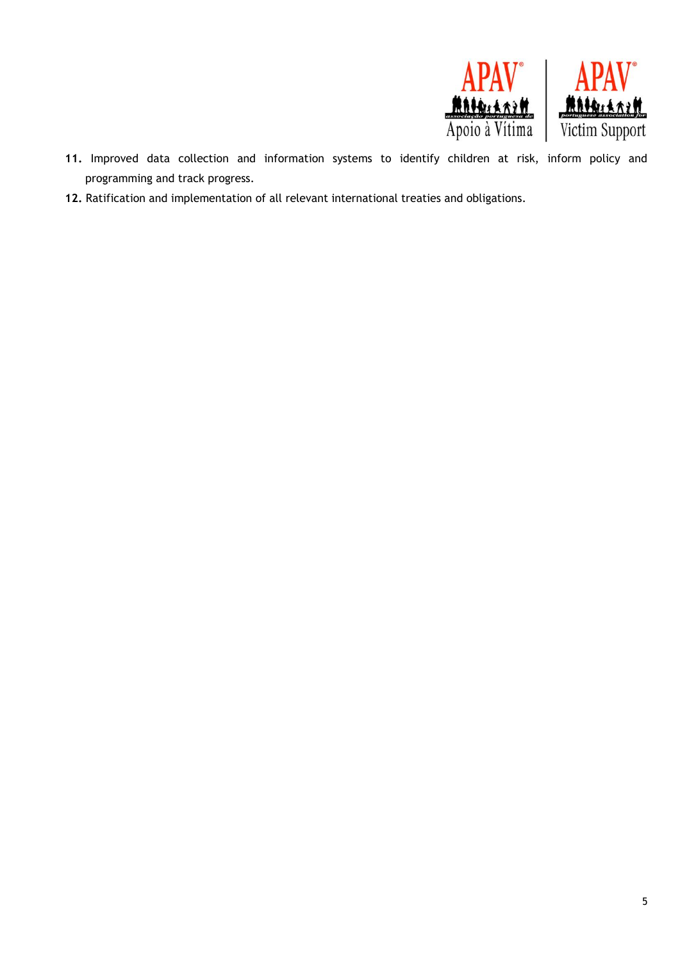

- **11.** Improved data collection and information systems to identify children at risk, inform policy and programming and track progress.
- **12.** Ratification and implementation of all relevant international treaties and obligations.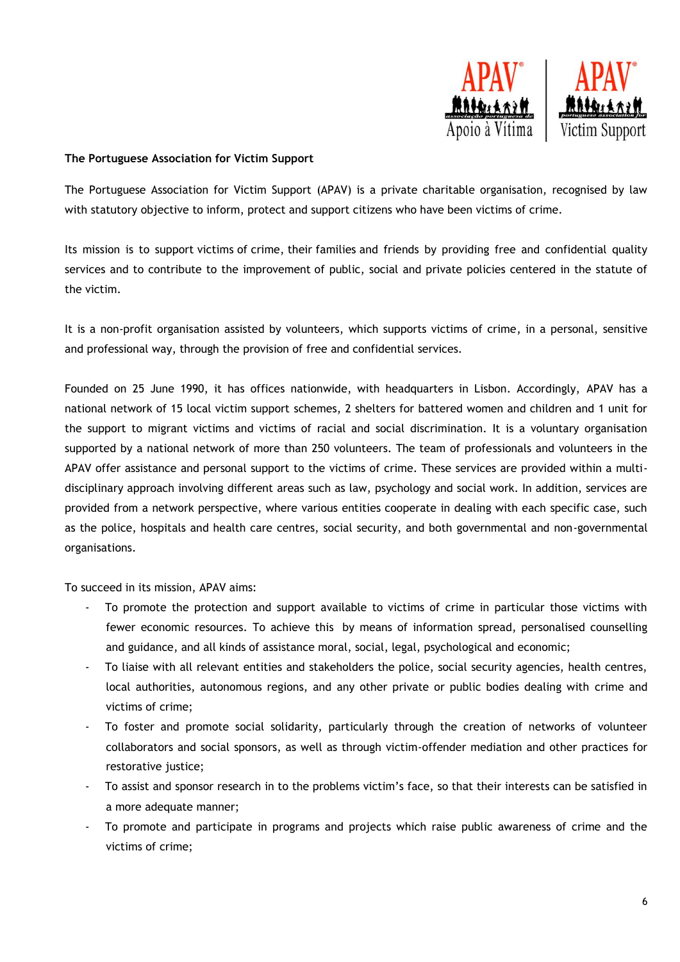

## **The Portuguese Association for Victim Support**

The Portuguese Association for Victim Support (APAV) is a private charitable organisation, recognised by law with statutory objective to inform, protect and support citizens who have been victims of crime.

Its mission is to support victims of crime, their families and friends by providing free and confidential quality services and to contribute to the improvement of public, social and private policies centered in the statute of the victim.

It is a non-profit organisation assisted by volunteers, which supports victims of crime, in a personal, sensitive and professional way, through the provision of free and confidential services.

Founded on 25 June 1990, it has offices nationwide, with headquarters in Lisbon. Accordingly, APAV has a national network of 15 local victim support schemes, 2 shelters for battered women and children and 1 unit for the support to migrant victims and victims of racial and social discrimination. It is a voluntary organisation supported by a national network of more than 250 volunteers. The team of professionals and volunteers in the APAV offer assistance and personal support to the victims of crime. These services are provided within a multidisciplinary approach involving different areas such as law, psychology and social work. In addition, services are provided from a network perspective, where various entities cooperate in dealing with each specific case, such as the police, hospitals and health care centres, social security, and both governmental and non-governmental organisations.

To succeed in its mission, APAV aims:

- To promote the protection and support available to victims of crime in particular those victims with fewer economic resources. To achieve this by means of information spread, personalised counselling and guidance, and all kinds of assistance moral, social, legal, psychological and economic;
- To liaise with all relevant entities and stakeholders the police, social security agencies, health centres, local authorities, autonomous regions, and any other private or public bodies dealing with crime and victims of crime;
- To foster and promote social solidarity, particularly through the creation of networks of volunteer collaborators and social sponsors, as well as through victim-offender mediation and other practices for restorative justice;
- To assist and sponsor research in to the problems victim's face, so that their interests can be satisfied in a more adequate manner;
- To promote and participate in programs and projects which raise public awareness of crime and the victims of crime;